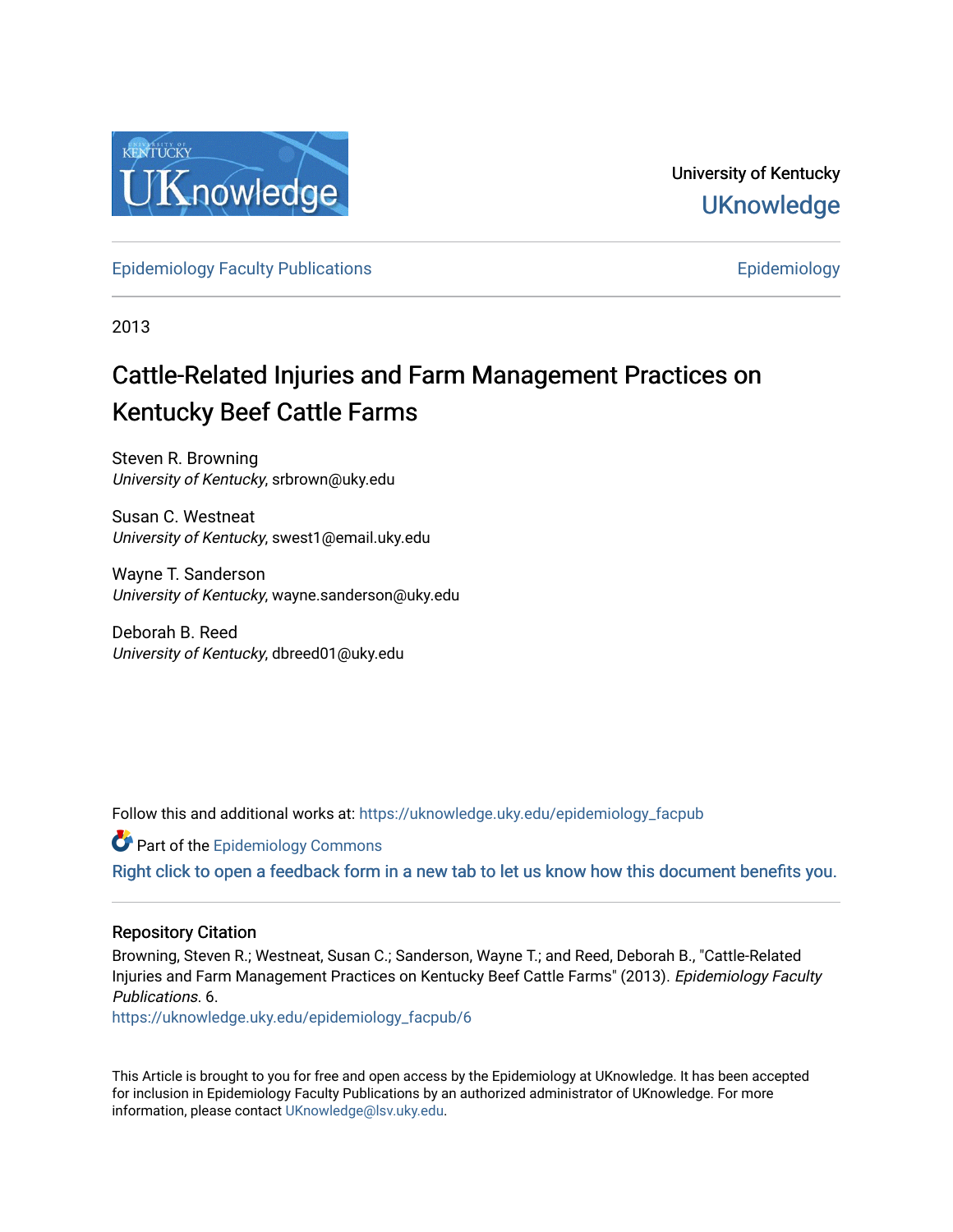

University of Kentucky **UKnowledge** 

[Epidemiology Faculty Publications](https://uknowledge.uky.edu/epidemiology_facpub) **Example 20 and Taylor Example 20 and Taylor** Epidemiology

2013

# Cattle-Related Injuries and Farm Management Practices on Kentucky Beef Cattle Farms

Steven R. Browning University of Kentucky, srbrown@uky.edu

Susan C. Westneat University of Kentucky, swest1@email.uky.edu

Wayne T. Sanderson University of Kentucky, wayne.sanderson@uky.edu

Deborah B. Reed University of Kentucky, dbreed01@uky.edu

Follow this and additional works at: [https://uknowledge.uky.edu/epidemiology\\_facpub](https://uknowledge.uky.edu/epidemiology_facpub?utm_source=uknowledge.uky.edu%2Fepidemiology_facpub%2F6&utm_medium=PDF&utm_campaign=PDFCoverPages) 

**Part of the Epidemiology Commons** 

[Right click to open a feedback form in a new tab to let us know how this document benefits you.](https://uky.az1.qualtrics.com/jfe/form/SV_9mq8fx2GnONRfz7)

### Repository Citation

Browning, Steven R.; Westneat, Susan C.; Sanderson, Wayne T.; and Reed, Deborah B., "Cattle-Related Injuries and Farm Management Practices on Kentucky Beef Cattle Farms" (2013). Epidemiology Faculty Publications. 6.

[https://uknowledge.uky.edu/epidemiology\\_facpub/6](https://uknowledge.uky.edu/epidemiology_facpub/6?utm_source=uknowledge.uky.edu%2Fepidemiology_facpub%2F6&utm_medium=PDF&utm_campaign=PDFCoverPages)

This Article is brought to you for free and open access by the Epidemiology at UKnowledge. It has been accepted for inclusion in Epidemiology Faculty Publications by an authorized administrator of UKnowledge. For more information, please contact [UKnowledge@lsv.uky.edu](mailto:UKnowledge@lsv.uky.edu).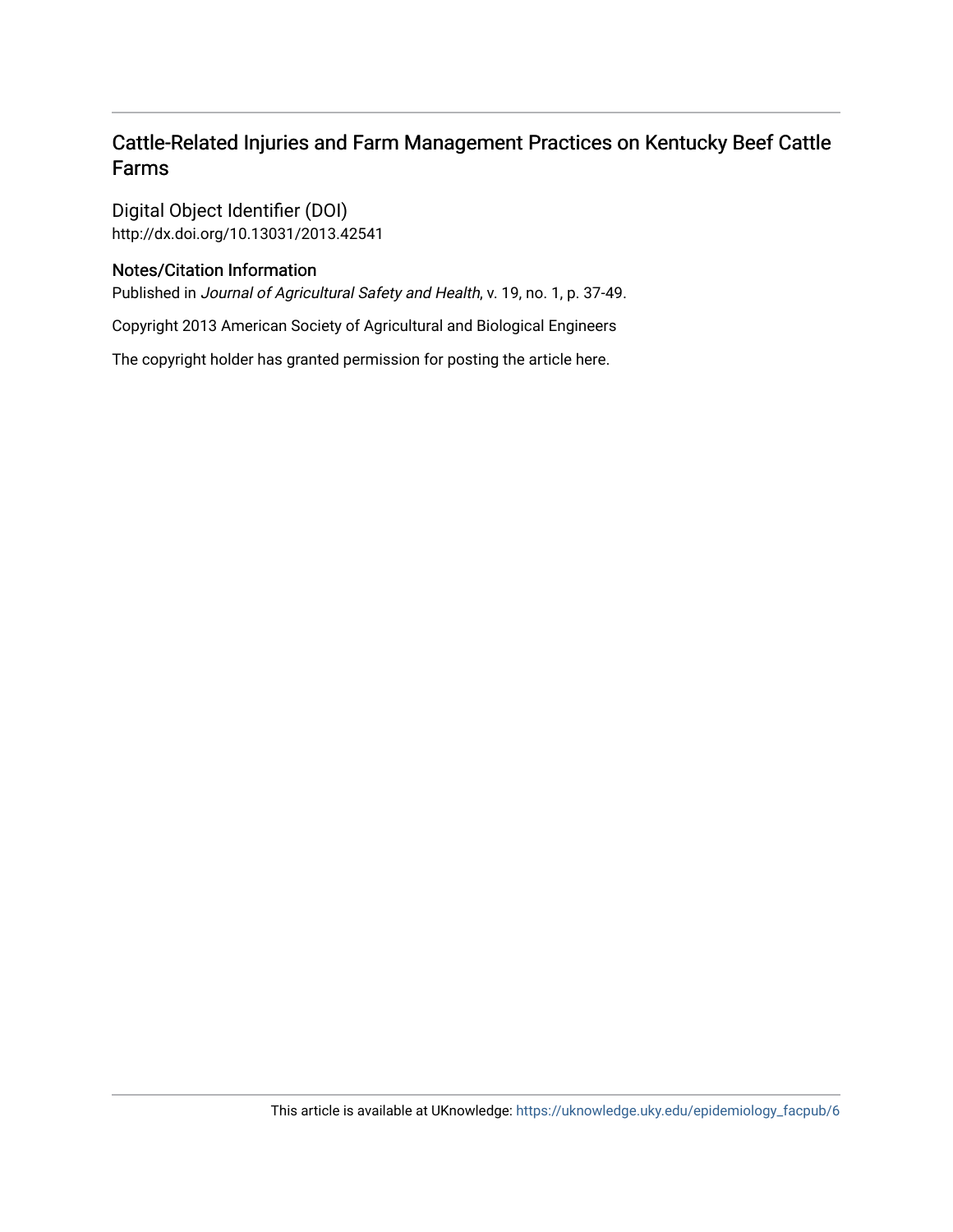# Cattle-Related Injuries and Farm Management Practices on Kentucky Beef Cattle Farms

Digital Object Identifier (DOI) http://dx.doi.org/10.13031/2013.42541

# Notes/Citation Information

Published in Journal of Agricultural Safety and Health, v. 19, no. 1, p. 37-49.

Copyright 2013 American Society of Agricultural and Biological Engineers

The copyright holder has granted permission for posting the article here.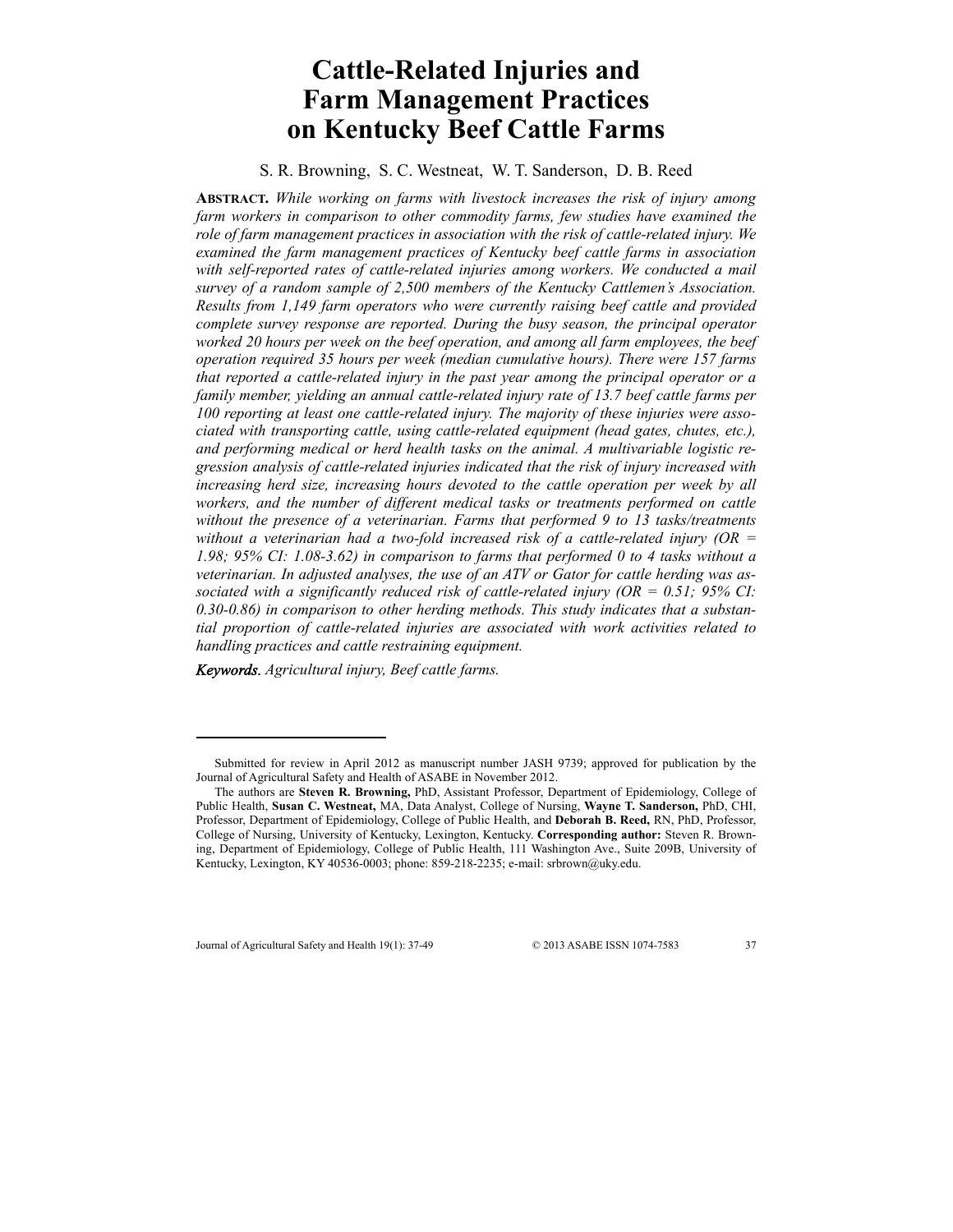# **Cattle-Related Injuries and Farm Management Practices on Kentucky Beef Cattle Farms**

S. R. Browning, S. C. Westneat, W. T. Sanderson, D. B. Reed

**ABSTRACT.** *While working on farms with livestock increases the risk of injury among farm workers in comparison to other commodity farms, few studies have examined the role of farm management practices in association with the risk of cattle-related injury. We examined the farm management practices of Kentucky beef cattle farms in association*  with self-reported rates of cattle-related injuries among workers. We conducted a mail *survey of a random sample of 2,500 members of the Kentucky Cattlemen's Association. Results from 1,149 farm operators who were currently raising beef cattle and provided complete survey response are reported. During the busy season, the principal operator worked 20 hours per week on the beef operation, and among all farm employees, the beef operation required 35 hours per week (median cumulative hours). There were 157 farms that reported a cattle-related injury in the past year among the principal operator or a family member, yielding an annual cattle-related injury rate of 13.7 beef cattle farms per 100 reporting at least one cattle-related injury. The majority of these injuries were associated with transporting cattle, using cattle-related equipment (head gates, chutes, etc.), and performing medical or herd health tasks on the animal. A multivariable logistic regression analysis of cattle-related injuries indicated that the risk of injury increased with increasing herd size, increasing hours devoted to the cattle operation per week by all* workers, and the number of different medical tasks or treatments performed on cattle *without the presence of a veterinarian. Farms that performed 9 to 13 tasks/treatments without a veterinarian had a two-fold increased risk of a cattle-related injury (OR = 1.98; 95% CI: 1.08-3.62) in comparison to farms that performed 0 to 4 tasks without a veterinarian. In adjusted analyses, the use of an ATV or Gator for cattle herding was associated with a significantly reduced risk of cattle-related injury (OR = 0.51; 95% CI: 0.30-0.86) in comparison to other herding methods. This study indicates that a substantial proportion of cattle-related injuries are associated with work activities related to handling practices and cattle restraining equipment.* 

*Keywords. Agricultural injury, Beef cattle farms.* 

Journal of Agricultural Safety and Health 19(1): 37-49 © 2013 ASABE ISSN 1074-7583 37

Submitted for review in April 2012 as manuscript number JASH 9739; approved for publication by the Journal of Agricultural Safety and Health of ASABE in November 2012.

The authors are **Steven R. Browning,** PhD, Assistant Professor, Department of Epidemiology, College of Public Health, **Susan C. Westneat,** MA, Data Analyst, College of Nursing, **Wayne T. Sanderson,** PhD, CHI, Professor, Department of Epidemiology, College of Public Health, and **Deborah B. Reed,** RN, PhD, Professor, College of Nursing, University of Kentucky, Lexington, Kentucky. **Corresponding author:** Steven R. Browning, Department of Epidemiology, College of Public Health, 111 Washington Ave., Suite 209B, University of Kentucky, Lexington, KY 40536-0003; phone: 859-218-2235; e-mail: srbrown@uky.edu.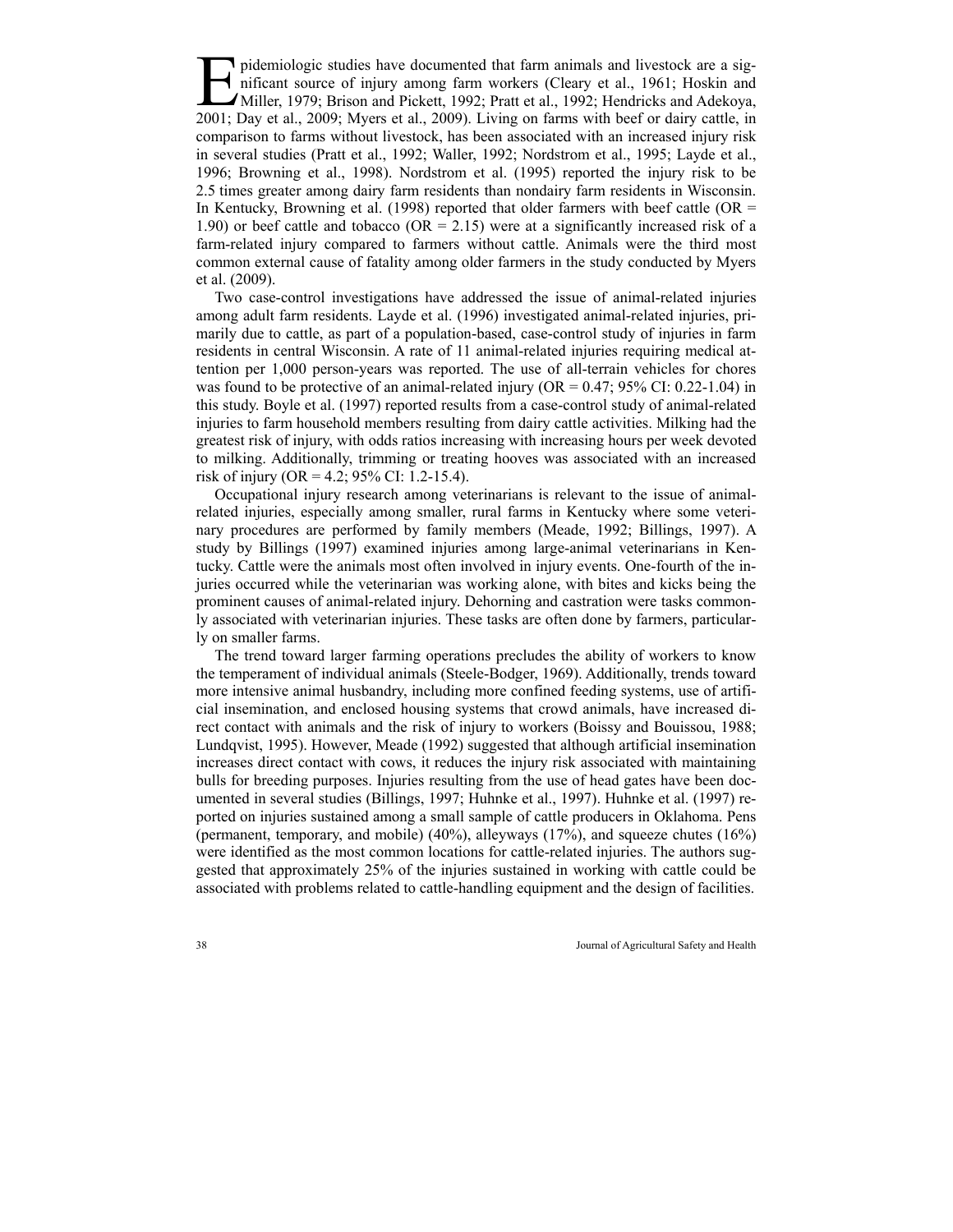pidemiologic studies have documented that farm animals and livestock are a significant source of injury among farm workers (Cleary et al., 1961; Hoskin and Miller, 1979; Brison and Pickett, 1992; Pratt et al., 1992; Hendricks and Adekoya, pidemiologic studies have documented that farm animals and livestock are a significant source of injury among farm workers (Cleary et al., 1961; Hoskin and Miller, 1979; Brison and Pickett, 1992; Pratt et al., 1992; Hendri comparison to farms without livestock, has been associated with an increased injury risk in several studies (Pratt et al., 1992; Waller, 1992; Nordstrom et al., 1995; Layde et al., 1996; Browning et al., 1998). Nordstrom et al. (1995) reported the injury risk to be 2.5 times greater among dairy farm residents than nondairy farm residents in Wisconsin. In Kentucky, Browning et al. (1998) reported that older farmers with beef cattle ( $OR =$ 1.90) or beef cattle and tobacco (OR = 2.15) were at a significantly increased risk of a farm-related injury compared to farmers without cattle. Animals were the third most common external cause of fatality among older farmers in the study conducted by Myers et al. (2009).

Two case-control investigations have addressed the issue of animal-related injuries among adult farm residents. Layde et al. (1996) investigated animal-related injuries, primarily due to cattle, as part of a population-based, case-control study of injuries in farm residents in central Wisconsin. A rate of 11 animal-related injuries requiring medical attention per 1,000 person-years was reported. The use of all-terrain vehicles for chores was found to be protective of an animal-related injury (OR =  $0.47$ ;  $95\%$  CI:  $0.22-1.04$ ) in this study. Boyle et al. (1997) reported results from a case-control study of animal-related injuries to farm household members resulting from dairy cattle activities. Milking had the greatest risk of injury, with odds ratios increasing with increasing hours per week devoted to milking. Additionally, trimming or treating hooves was associated with an increased risk of injury (OR = 4.2; 95% CI: 1.2-15.4).

Occupational injury research among veterinarians is relevant to the issue of animalrelated injuries, especially among smaller, rural farms in Kentucky where some veterinary procedures are performed by family members (Meade, 1992; Billings, 1997). A study by Billings (1997) examined injuries among large-animal veterinarians in Kentucky. Cattle were the animals most often involved in injury events. One-fourth of the injuries occurred while the veterinarian was working alone, with bites and kicks being the prominent causes of animal-related injury. Dehorning and castration were tasks commonly associated with veterinarian injuries. These tasks are often done by farmers, particularly on smaller farms.

The trend toward larger farming operations precludes the ability of workers to know the temperament of individual animals (Steele-Bodger, 1969). Additionally, trends toward more intensive animal husbandry, including more confined feeding systems, use of artificial insemination, and enclosed housing systems that crowd animals, have increased direct contact with animals and the risk of injury to workers (Boissy and Bouissou, 1988; Lundqvist, 1995). However, Meade (1992) suggested that although artificial insemination increases direct contact with cows, it reduces the injury risk associated with maintaining bulls for breeding purposes. Injuries resulting from the use of head gates have been documented in several studies (Billings, 1997; Huhnke et al., 1997). Huhnke et al. (1997) reported on injuries sustained among a small sample of cattle producers in Oklahoma. Pens (permanent, temporary, and mobile) (40%), alleyways (17%), and squeeze chutes (16%) were identified as the most common locations for cattle-related injuries. The authors suggested that approximately 25% of the injuries sustained in working with cattle could be associated with problems related to cattle-handling equipment and the design of facilities.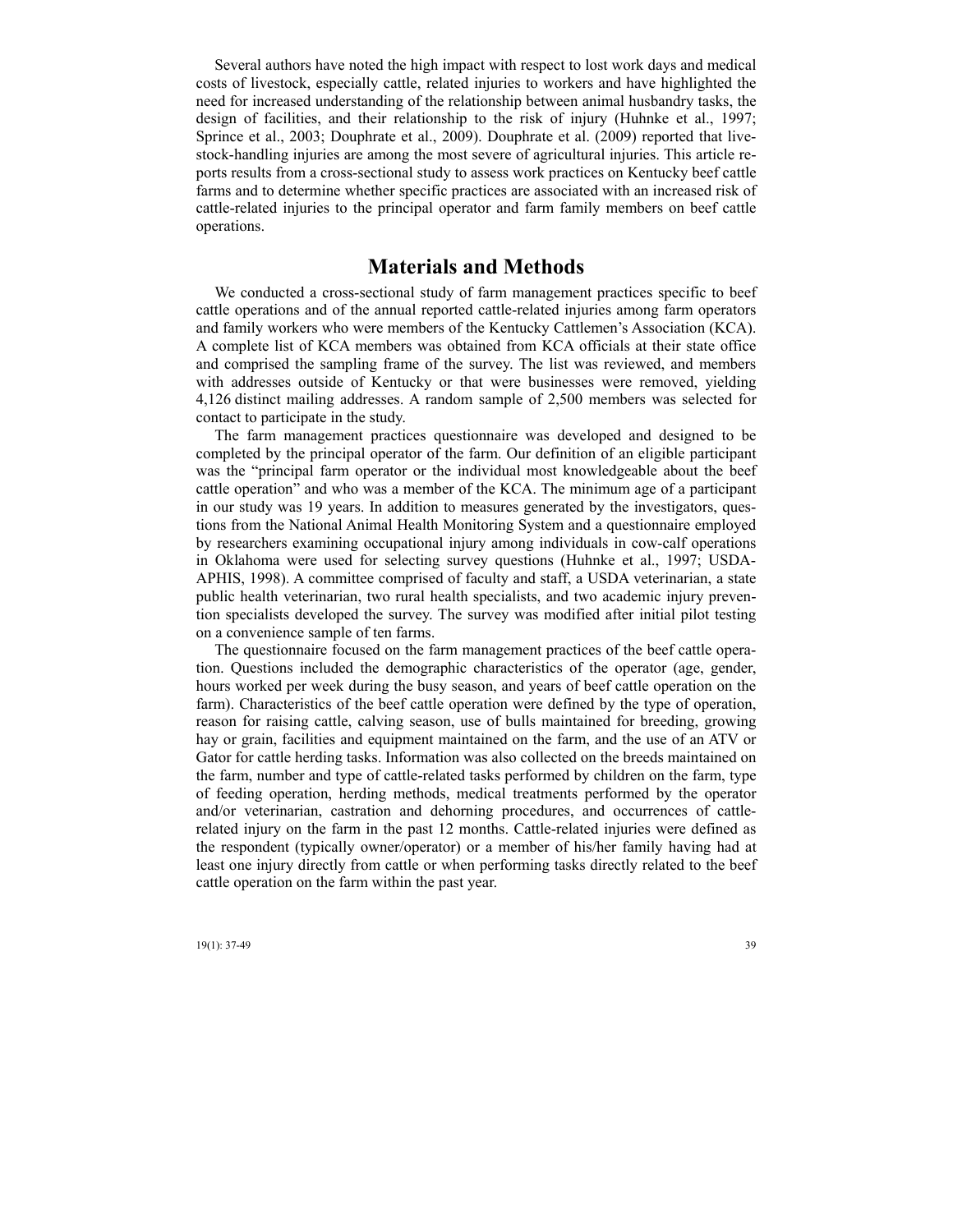Several authors have noted the high impact with respect to lost work days and medical costs of livestock, especially cattle, related injuries to workers and have highlighted the need for increased understanding of the relationship between animal husbandry tasks, the design of facilities, and their relationship to the risk of injury (Huhnke et al., 1997; Sprince et al., 2003; Douphrate et al., 2009). Douphrate et al. (2009) reported that livestock-handling injuries are among the most severe of agricultural injuries. This article reports results from a cross-sectional study to assess work practices on Kentucky beef cattle farms and to determine whether specific practices are associated with an increased risk of cattle-related injuries to the principal operator and farm family members on beef cattle operations.

# **Materials and Methods**

We conducted a cross-sectional study of farm management practices specific to beef cattle operations and of the annual reported cattle-related injuries among farm operators and family workers who were members of the Kentucky Cattlemen's Association (KCA). A complete list of KCA members was obtained from KCA officials at their state office and comprised the sampling frame of the survey. The list was reviewed, and members with addresses outside of Kentucky or that were businesses were removed, yielding 4,126 distinct mailing addresses. A random sample of 2,500 members was selected for contact to participate in the study.

The farm management practices questionnaire was developed and designed to be completed by the principal operator of the farm. Our definition of an eligible participant was the "principal farm operator or the individual most knowledgeable about the beef cattle operation" and who was a member of the KCA. The minimum age of a participant in our study was 19 years. In addition to measures generated by the investigators, questions from the National Animal Health Monitoring System and a questionnaire employed by researchers examining occupational injury among individuals in cow-calf operations in Oklahoma were used for selecting survey questions (Huhnke et al., 1997; USDA-APHIS, 1998). A committee comprised of faculty and staff, a USDA veterinarian, a state public health veterinarian, two rural health specialists, and two academic injury prevention specialists developed the survey. The survey was modified after initial pilot testing on a convenience sample of ten farms.

The questionnaire focused on the farm management practices of the beef cattle operation. Questions included the demographic characteristics of the operator (age, gender, hours worked per week during the busy season, and years of beef cattle operation on the farm). Characteristics of the beef cattle operation were defined by the type of operation, reason for raising cattle, calving season, use of bulls maintained for breeding, growing hay or grain, facilities and equipment maintained on the farm, and the use of an ATV or Gator for cattle herding tasks. Information was also collected on the breeds maintained on the farm, number and type of cattle-related tasks performed by children on the farm, type of feeding operation, herding methods, medical treatments performed by the operator and/or veterinarian, castration and dehorning procedures, and occurrences of cattlerelated injury on the farm in the past 12 months. Cattle-related injuries were defined as the respondent (typically owner/operator) or a member of his/her family having had at least one injury directly from cattle or when performing tasks directly related to the beef cattle operation on the farm within the past year.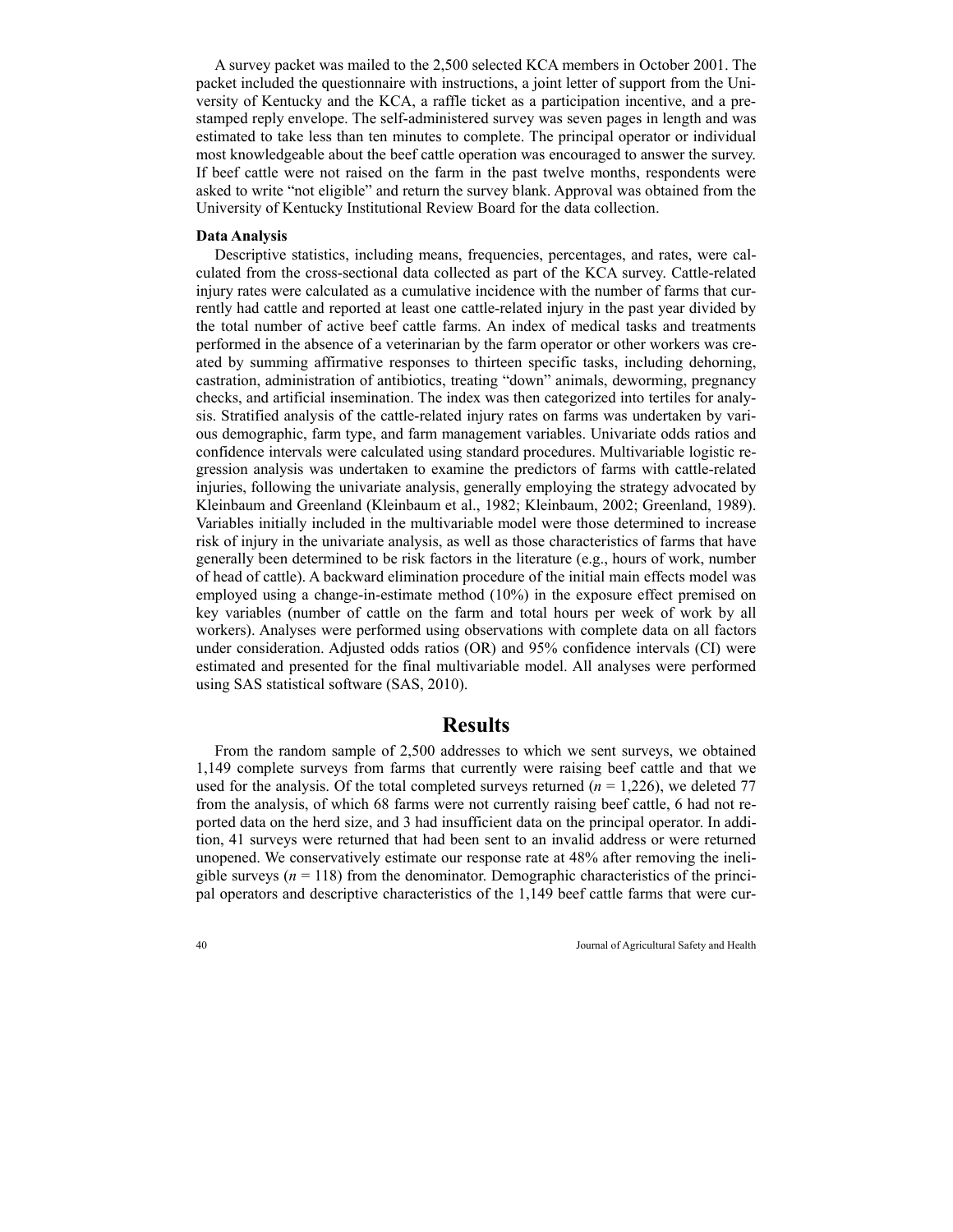A survey packet was mailed to the 2,500 selected KCA members in October 2001. The packet included the questionnaire with instructions, a joint letter of support from the University of Kentucky and the KCA, a raffle ticket as a participation incentive, and a prestamped reply envelope. The self-administered survey was seven pages in length and was estimated to take less than ten minutes to complete. The principal operator or individual most knowledgeable about the beef cattle operation was encouraged to answer the survey. If beef cattle were not raised on the farm in the past twelve months, respondents were asked to write "not eligible" and return the survey blank. Approval was obtained from the University of Kentucky Institutional Review Board for the data collection.

#### **Data Analysis**

Descriptive statistics, including means, frequencies, percentages, and rates, were calculated from the cross-sectional data collected as part of the KCA survey. Cattle-related injury rates were calculated as a cumulative incidence with the number of farms that currently had cattle and reported at least one cattle-related injury in the past year divided by the total number of active beef cattle farms. An index of medical tasks and treatments performed in the absence of a veterinarian by the farm operator or other workers was created by summing affirmative responses to thirteen specific tasks, including dehorning, castration, administration of antibiotics, treating "down" animals, deworming, pregnancy checks, and artificial insemination. The index was then categorized into tertiles for analysis. Stratified analysis of the cattle-related injury rates on farms was undertaken by various demographic, farm type, and farm management variables. Univariate odds ratios and confidence intervals were calculated using standard procedures. Multivariable logistic regression analysis was undertaken to examine the predictors of farms with cattle-related injuries, following the univariate analysis, generally employing the strategy advocated by Kleinbaum and Greenland (Kleinbaum et al., 1982; Kleinbaum, 2002; Greenland, 1989). Variables initially included in the multivariable model were those determined to increase risk of injury in the univariate analysis, as well as those characteristics of farms that have generally been determined to be risk factors in the literature (e.g., hours of work, number of head of cattle). A backward elimination procedure of the initial main effects model was employed using a change-in-estimate method (10%) in the exposure effect premised on key variables (number of cattle on the farm and total hours per week of work by all workers). Analyses were performed using observations with complete data on all factors under consideration. Adjusted odds ratios (OR) and 95% confidence intervals (CI) were estimated and presented for the final multivariable model. All analyses were performed using SAS statistical software (SAS, 2010).

### **Results**

From the random sample of 2,500 addresses to which we sent surveys, we obtained 1,149 complete surveys from farms that currently were raising beef cattle and that we used for the analysis. Of the total completed surveys returned  $(n = 1,226)$ , we deleted 77 from the analysis, of which 68 farms were not currently raising beef cattle, 6 had not reported data on the herd size, and 3 had insufficient data on the principal operator. In addition, 41 surveys were returned that had been sent to an invalid address or were returned unopened. We conservatively estimate our response rate at 48% after removing the ineligible surveys ( $n = 118$ ) from the denominator. Demographic characteristics of the principal operators and descriptive characteristics of the 1,149 beef cattle farms that were cur-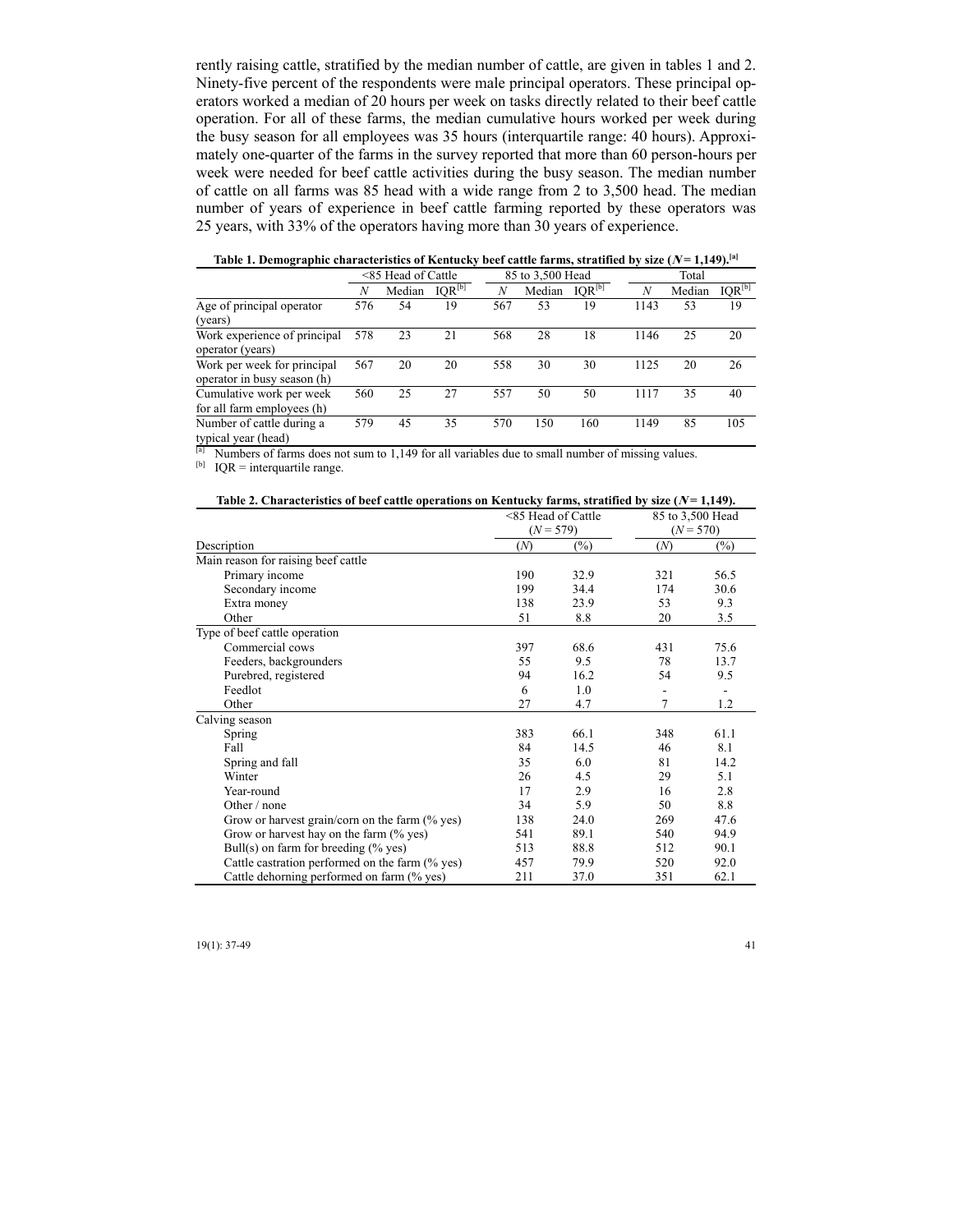rently raising cattle, stratified by the median number of cattle, are given in tables 1 and 2. Ninety-five percent of the respondents were male principal operators. These principal operators worked a median of 20 hours per week on tasks directly related to their beef cattle operation. For all of these farms, the median cumulative hours worked per week during the busy season for all employees was 35 hours (interquartile range: 40 hours). Approximately one-quarter of the farms in the survey reported that more than 60 person-hours per week were needed for beef cattle activities during the busy season. The median number of cattle on all farms was 85 head with a wide range from 2 to 3,500 head. The median number of years of experience in beef cattle farming reported by these operators was 25 years, with 33% of the operators having more than 30 years of experience.

| Table 1. Definger applie characteristics of Kentucky beef cattle farms, stratfied by size $(Y = 1,149)$ . |                    |        |             |     |                  |                    |      |        |             |  |
|-----------------------------------------------------------------------------------------------------------|--------------------|--------|-------------|-----|------------------|--------------------|------|--------|-------------|--|
|                                                                                                           | <85 Head of Cattle |        |             |     | 85 to 3,500 Head |                    |      | Total  |             |  |
|                                                                                                           | N                  | Median | $IQR^{[b]}$ | N   | Median           | IOR <sup>[b]</sup> | N    | Median | $IQR^{[b]}$ |  |
| Age of principal operator<br>(years)                                                                      | 576                | 54     | 19          | 567 | 53               | 19                 | 1143 | 53     | 19          |  |
| Work experience of principal<br>operator (years)                                                          | 578                | 23     | 21          | 568 | 28               | 18                 | 1146 | 25     | 20          |  |
| Work per week for principal<br>operator in busy season (h)                                                | 567                | 20     | 20          | 558 | 30               | 30                 | 1125 | 20     | 26          |  |
| Cumulative work per week<br>for all farm employees (h)                                                    | 560                | 25     | 27          | 557 | 50               | 50                 | 1117 | 35     | 40          |  |
| Number of cattle during a<br>typical year (head)                                                          | 579                | 45     | 35          | 570 | 150              | 160                | 1149 | 85     | 105         |  |

**Table 1. Demographic characteristics of Kentucky beef cattle farms, stratified by size (N = 1,149).[a]**

[a] Numbers of farms does not sum to 1,149 for all variables due to small number of missing values.<br><sup>[b]</sup> IQR = interquartile range.

| radic 2. Characteristics of beer cattle operations on ixentuely farms, stratflied by size (1) |     | <85 Head of Cattle | 1,17/1<br>85 to 3,500 Head<br>$(N = 570)$ |        |
|-----------------------------------------------------------------------------------------------|-----|--------------------|-------------------------------------------|--------|
|                                                                                               |     | $(N = 579)$        |                                           |        |
| Description                                                                                   | (N) | $\frac{6}{2}$      | (N)                                       | $(\%)$ |
| Main reason for raising beef cattle                                                           |     |                    |                                           |        |
| Primary income                                                                                | 190 | 32.9               | 321                                       | 56.5   |
| Secondary income                                                                              | 199 | 34.4               | 174                                       | 30.6   |
| Extra money                                                                                   | 138 | 23.9               | 53                                        | 9.3    |
| Other                                                                                         | 51  | 8.8                | 20                                        | 3.5    |
| Type of beef cattle operation                                                                 |     |                    |                                           |        |
| Commercial cows                                                                               | 397 | 68.6               | 431                                       | 75.6   |
| Feeders, backgrounders                                                                        | 55  | 9.5                | 78                                        | 13.7   |
| Purebred, registered                                                                          | 94  | 16.2               | 54                                        | 9.5    |
| Feedlot                                                                                       | 6   | 1.0                |                                           |        |
| Other                                                                                         | 27  | 4.7                | 7                                         | 1.2    |
| Calving season                                                                                |     |                    |                                           |        |
| Spring                                                                                        | 383 | 66.1               | 348                                       | 61.1   |
| Fall                                                                                          | 84  | 14.5               | 46                                        | 8.1    |
| Spring and fall                                                                               | 35  | 6.0                | 81                                        | 14.2   |
| Winter                                                                                        | 26  | 4.5                | 29                                        | 5.1    |
| Year-round                                                                                    | 17  | 2.9                | 16                                        | 2.8    |
| Other / none                                                                                  | 34  | 5.9                | 50                                        | 8.8    |
| Grow or harvest grain/corn on the farm $(\%$ yes)                                             | 138 | 24.0               | 269                                       | 47.6   |
| Grow or harvest hay on the farm (% yes)                                                       | 541 | 89.1               | 540                                       | 94.9   |
| Bull(s) on farm for breeding $(\%$ yes)                                                       | 513 | 88.8               | 512                                       | 90.1   |
| Cattle castration performed on the farm (% yes)                                               | 457 | 79.9               | 520                                       | 92.0   |
| Cattle dehorning performed on farm (% yes)                                                    | 211 | 37.0               | 351                                       | 62.1   |

**Table 2. Characteristics of beef cattle operations on Kentucky farms, stratified by size (N = 1,149).**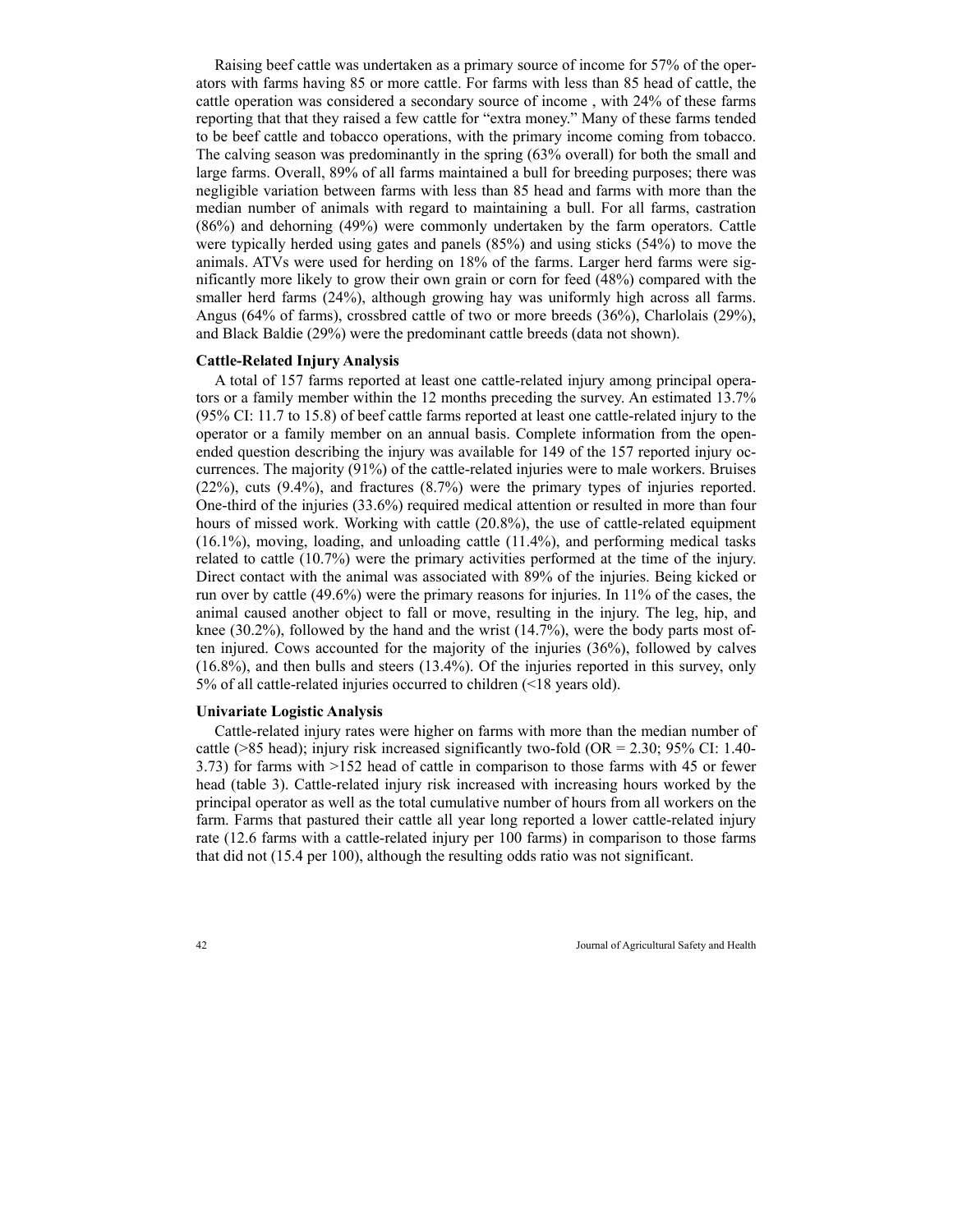Raising beef cattle was undertaken as a primary source of income for 57% of the operators with farms having 85 or more cattle. For farms with less than 85 head of cattle, the cattle operation was considered a secondary source of income , with 24% of these farms reporting that that they raised a few cattle for "extra money." Many of these farms tended to be beef cattle and tobacco operations, with the primary income coming from tobacco. The calving season was predominantly in the spring (63% overall) for both the small and large farms. Overall, 89% of all farms maintained a bull for breeding purposes; there was negligible variation between farms with less than 85 head and farms with more than the median number of animals with regard to maintaining a bull. For all farms, castration (86%) and dehorning (49%) were commonly undertaken by the farm operators. Cattle were typically herded using gates and panels (85%) and using sticks (54%) to move the animals. ATVs were used for herding on 18% of the farms. Larger herd farms were significantly more likely to grow their own grain or corn for feed (48%) compared with the smaller herd farms (24%), although growing hay was uniformly high across all farms. Angus (64% of farms), crossbred cattle of two or more breeds (36%), Charlolais (29%), and Black Baldie (29%) were the predominant cattle breeds (data not shown).

### **Cattle-Related Injury Analysis**

A total of 157 farms reported at least one cattle-related injury among principal operators or a family member within the 12 months preceding the survey. An estimated 13.7% (95% CI: 11.7 to 15.8) of beef cattle farms reported at least one cattle-related injury to the operator or a family member on an annual basis. Complete information from the openended question describing the injury was available for 149 of the 157 reported injury occurrences. The majority (91%) of the cattle-related injuries were to male workers. Bruises (22%), cuts (9.4%), and fractures (8.7%) were the primary types of injuries reported. One-third of the injuries (33.6%) required medical attention or resulted in more than four hours of missed work. Working with cattle (20.8%), the use of cattle-related equipment (16.1%), moving, loading, and unloading cattle (11.4%), and performing medical tasks related to cattle (10.7%) were the primary activities performed at the time of the injury. Direct contact with the animal was associated with 89% of the injuries. Being kicked or run over by cattle (49.6%) were the primary reasons for injuries. In 11% of the cases, the animal caused another object to fall or move, resulting in the injury. The leg, hip, and knee (30.2%), followed by the hand and the wrist (14.7%), were the body parts most often injured. Cows accounted for the majority of the injuries (36%), followed by calves (16.8%), and then bulls and steers (13.4%). Of the injuries reported in this survey, only 5% of all cattle-related injuries occurred to children (<18 years old).

#### **Univariate Logistic Analysis**

Cattle-related injury rates were higher on farms with more than the median number of cattle (>85 head); injury risk increased significantly two-fold (OR = 2.30; 95% CI: 1.40- 3.73) for farms with >152 head of cattle in comparison to those farms with 45 or fewer head (table 3). Cattle-related injury risk increased with increasing hours worked by the principal operator as well as the total cumulative number of hours from all workers on the farm. Farms that pastured their cattle all year long reported a lower cattle-related injury rate (12.6 farms with a cattle-related injury per 100 farms) in comparison to those farms that did not (15.4 per 100), although the resulting odds ratio was not significant.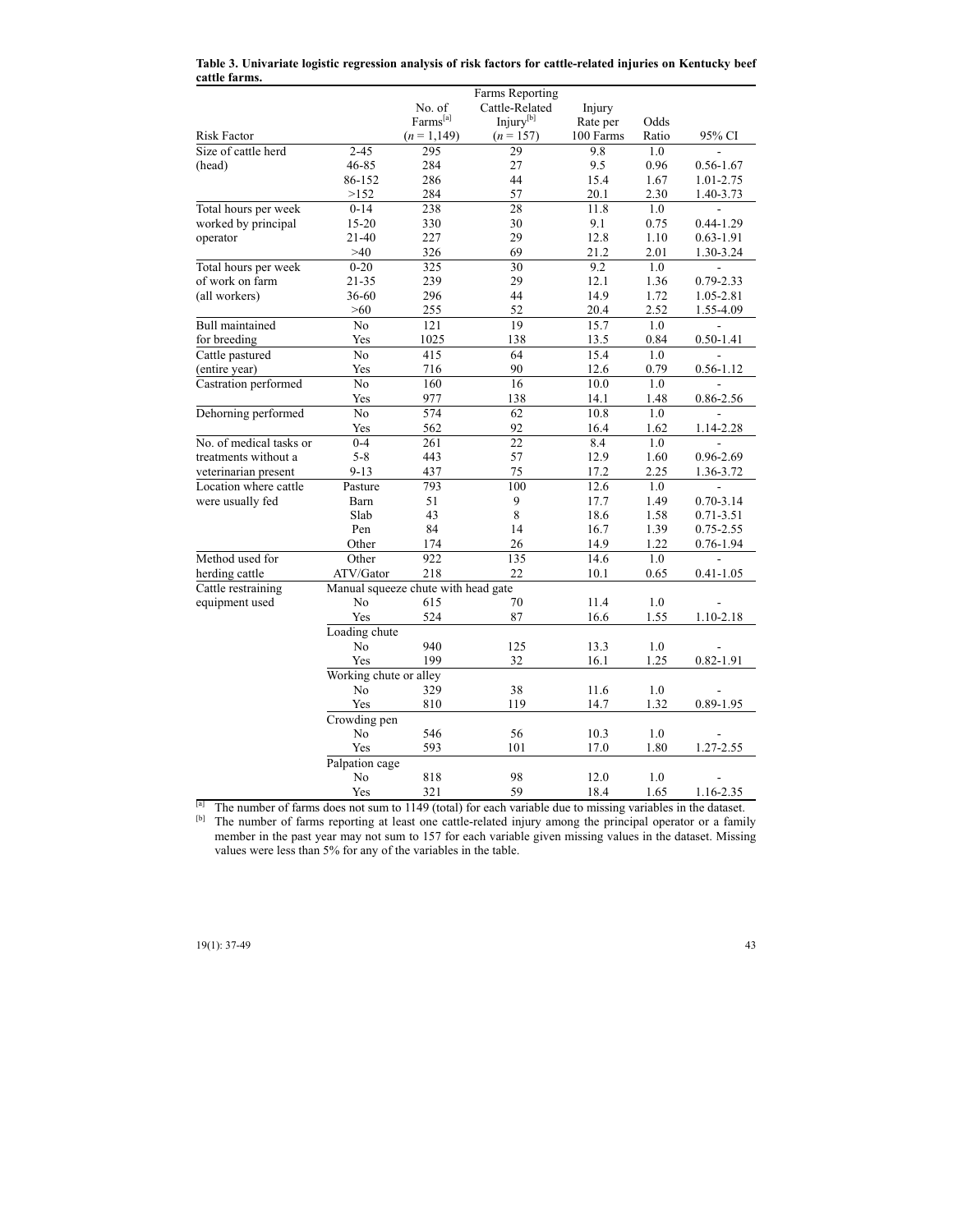**Table 3. Univariate logistic regression analysis of risk factors for cattle-related injuries on Kentucky beef cattle farms.** 

|                                                                                                                                                                                                                                                                                                                                                                                                                                                                                                                                                                                                                                                                                                  |                        |                                     | Farms Reporting       |           |       |               |
|--------------------------------------------------------------------------------------------------------------------------------------------------------------------------------------------------------------------------------------------------------------------------------------------------------------------------------------------------------------------------------------------------------------------------------------------------------------------------------------------------------------------------------------------------------------------------------------------------------------------------------------------------------------------------------------------------|------------------------|-------------------------------------|-----------------------|-----------|-------|---------------|
|                                                                                                                                                                                                                                                                                                                                                                                                                                                                                                                                                                                                                                                                                                  |                        | No. of                              | Cattle-Related        | Injury    |       |               |
|                                                                                                                                                                                                                                                                                                                                                                                                                                                                                                                                                                                                                                                                                                  |                        | Farms <sup>[a]</sup>                | Injury <sup>[b]</sup> | Rate per  | Odds  |               |
| <b>Risk Factor</b>                                                                                                                                                                                                                                                                                                                                                                                                                                                                                                                                                                                                                                                                               |                        | $(n=1,149)$                         | $(n = 157)$           | 100 Farms | Ratio | 95% CI        |
| Size of cattle herd                                                                                                                                                                                                                                                                                                                                                                                                                                                                                                                                                                                                                                                                              | $2 - 45$               | 295                                 | 29                    | 9.8       | 1.0   |               |
| (head)                                                                                                                                                                                                                                                                                                                                                                                                                                                                                                                                                                                                                                                                                           | 46-85                  | 284                                 | 27                    | 9.5       | 0.96  | $0.56 - 1.67$ |
|                                                                                                                                                                                                                                                                                                                                                                                                                                                                                                                                                                                                                                                                                                  | 86-152                 | 286                                 | 44                    | 15.4      | 1.67  | 1.01-2.75     |
|                                                                                                                                                                                                                                                                                                                                                                                                                                                                                                                                                                                                                                                                                                  | >152                   | 284                                 | 57                    | 20.1      | 2.30  | 1.40-3.73     |
| Total hours per week                                                                                                                                                                                                                                                                                                                                                                                                                                                                                                                                                                                                                                                                             | $0 - 14$               | 238                                 | 28                    | 11.8      | 1.0   |               |
| worked by principal                                                                                                                                                                                                                                                                                                                                                                                                                                                                                                                                                                                                                                                                              | $15 - 20$              | 330                                 | 30                    | 9.1       | 0.75  | $0.44 - 1.29$ |
| operator                                                                                                                                                                                                                                                                                                                                                                                                                                                                                                                                                                                                                                                                                         | 21-40                  | 227                                 | 29                    | 12.8      | 1.10  | $0.63 - 1.91$ |
|                                                                                                                                                                                                                                                                                                                                                                                                                                                                                                                                                                                                                                                                                                  | >40                    | 326                                 | 69                    | 21.2      | 2.01  | 1.30-3.24     |
| Total hours per week                                                                                                                                                                                                                                                                                                                                                                                                                                                                                                                                                                                                                                                                             | $0 - 20$               | 325                                 | 30                    | 9.2       | 1.0   |               |
| of work on farm                                                                                                                                                                                                                                                                                                                                                                                                                                                                                                                                                                                                                                                                                  | 21-35                  | 239                                 | 29                    | 12.1      | 1.36  | 0.79-2.33     |
| (all workers)                                                                                                                                                                                                                                                                                                                                                                                                                                                                                                                                                                                                                                                                                    | 36-60                  | 296                                 | 44                    | 14.9      | 1.72  | 1.05-2.81     |
|                                                                                                                                                                                                                                                                                                                                                                                                                                                                                                                                                                                                                                                                                                  | >60                    | 255                                 | 52                    | 20.4      | 2.52  | 1.55-4.09     |
| <b>Bull maintained</b>                                                                                                                                                                                                                                                                                                                                                                                                                                                                                                                                                                                                                                                                           | No                     | 121                                 | 19                    | 15.7      | 1.0   |               |
| for breeding                                                                                                                                                                                                                                                                                                                                                                                                                                                                                                                                                                                                                                                                                     | Yes                    | 1025                                | 138                   | 13.5      | 0.84  | $0.50 - 1.41$ |
| Cattle pastured                                                                                                                                                                                                                                                                                                                                                                                                                                                                                                                                                                                                                                                                                  | No                     | 415                                 | 64                    | 15.4      | 1.0   |               |
| (entire year)                                                                                                                                                                                                                                                                                                                                                                                                                                                                                                                                                                                                                                                                                    | Yes                    | 716                                 | 90                    | 12.6      | 0.79  | 0.56-1.12     |
| Castration performed                                                                                                                                                                                                                                                                                                                                                                                                                                                                                                                                                                                                                                                                             | No                     | 160                                 | 16                    | 10.0      | 1.0   |               |
|                                                                                                                                                                                                                                                                                                                                                                                                                                                                                                                                                                                                                                                                                                  | Yes                    | 977                                 | 138                   | 14.1      | 1.48  | 0.86-2.56     |
| Dehorning performed                                                                                                                                                                                                                                                                                                                                                                                                                                                                                                                                                                                                                                                                              | No                     | 574                                 | 62                    | 10.8      | 1.0   |               |
|                                                                                                                                                                                                                                                                                                                                                                                                                                                                                                                                                                                                                                                                                                  | Yes                    | 562                                 | 92                    | 16.4      | 1.62  | 1.14-2.28     |
| No. of medical tasks or                                                                                                                                                                                                                                                                                                                                                                                                                                                                                                                                                                                                                                                                          | $0 - 4$                | 261                                 | 22                    | 8.4       | 1.0   |               |
| treatments without a                                                                                                                                                                                                                                                                                                                                                                                                                                                                                                                                                                                                                                                                             | $5 - 8$                | 443                                 | 57                    | 12.9      | 1.60  | 0.96-2.69     |
| veterinarian present                                                                                                                                                                                                                                                                                                                                                                                                                                                                                                                                                                                                                                                                             | $9 - 13$               | 437                                 | 75                    | 17.2      | 2.25  | 1.36-3.72     |
| Location where cattle                                                                                                                                                                                                                                                                                                                                                                                                                                                                                                                                                                                                                                                                            | Pasture                | 793                                 | 100                   | 12.6      | 1.0   |               |
| were usually fed                                                                                                                                                                                                                                                                                                                                                                                                                                                                                                                                                                                                                                                                                 | Barn                   | 51                                  | 9                     | 17.7      | 1.49  | $0.70 - 3.14$ |
|                                                                                                                                                                                                                                                                                                                                                                                                                                                                                                                                                                                                                                                                                                  | Slab                   | 43                                  | 8                     | 18.6      | 1.58  | $0.71 - 3.51$ |
|                                                                                                                                                                                                                                                                                                                                                                                                                                                                                                                                                                                                                                                                                                  | Pen                    | 84                                  | 14                    | 16.7      | 1.39  | 0.75-2.55     |
|                                                                                                                                                                                                                                                                                                                                                                                                                                                                                                                                                                                                                                                                                                  | Other                  | 174                                 | 26                    | 14.9      | 1.22  | 0.76-1.94     |
| Method used for                                                                                                                                                                                                                                                                                                                                                                                                                                                                                                                                                                                                                                                                                  | Other                  | 922                                 | 135                   | 14.6      | 1.0   |               |
| herding cattle                                                                                                                                                                                                                                                                                                                                                                                                                                                                                                                                                                                                                                                                                   | ATV/Gator              | 218                                 | 22                    | 10.1      | 0.65  | $0.41 - 1.05$ |
| Cattle restraining                                                                                                                                                                                                                                                                                                                                                                                                                                                                                                                                                                                                                                                                               |                        | Manual squeeze chute with head gate |                       |           |       |               |
| equipment used                                                                                                                                                                                                                                                                                                                                                                                                                                                                                                                                                                                                                                                                                   | No                     | 615                                 | 70                    | 11.4      | 1.0   |               |
|                                                                                                                                                                                                                                                                                                                                                                                                                                                                                                                                                                                                                                                                                                  | Yes                    | 524                                 | 87                    | 16.6      | 1.55  | 1.10-2.18     |
|                                                                                                                                                                                                                                                                                                                                                                                                                                                                                                                                                                                                                                                                                                  | Loading chute          |                                     |                       |           |       |               |
|                                                                                                                                                                                                                                                                                                                                                                                                                                                                                                                                                                                                                                                                                                  | No                     | 940                                 | 125                   | 13.3      | 1.0   |               |
|                                                                                                                                                                                                                                                                                                                                                                                                                                                                                                                                                                                                                                                                                                  | Yes                    | 199                                 | 32                    | 16.1      | 1.25  | 0.82-1.91     |
|                                                                                                                                                                                                                                                                                                                                                                                                                                                                                                                                                                                                                                                                                                  | Working chute or alley |                                     |                       |           |       |               |
|                                                                                                                                                                                                                                                                                                                                                                                                                                                                                                                                                                                                                                                                                                  | No                     | 329                                 | 38                    | 11.6      | 1.0   |               |
|                                                                                                                                                                                                                                                                                                                                                                                                                                                                                                                                                                                                                                                                                                  | Yes                    | 810                                 | 119                   | 14.7      | 1.32  | 0.89-1.95     |
|                                                                                                                                                                                                                                                                                                                                                                                                                                                                                                                                                                                                                                                                                                  | Crowding pen           |                                     |                       |           |       |               |
|                                                                                                                                                                                                                                                                                                                                                                                                                                                                                                                                                                                                                                                                                                  | No                     | 546                                 | 56                    | 10.3      | 1.0   |               |
|                                                                                                                                                                                                                                                                                                                                                                                                                                                                                                                                                                                                                                                                                                  | Yes                    | 593                                 | 101                   | 17.0      | 1.80  | 1.27-2.55     |
|                                                                                                                                                                                                                                                                                                                                                                                                                                                                                                                                                                                                                                                                                                  | Palpation cage         |                                     |                       |           |       |               |
|                                                                                                                                                                                                                                                                                                                                                                                                                                                                                                                                                                                                                                                                                                  | No                     | 818                                 | 98                    | 12.0      | 1.0   |               |
|                                                                                                                                                                                                                                                                                                                                                                                                                                                                                                                                                                                                                                                                                                  | Yes                    | 321                                 | 59                    | 18.4      | 1.65  | 1.16-2.35     |
| [a]<br>The number of farms does not sum to 1149 (total) for each variable due to missing variables in the dataset.                                                                                                                                                                                                                                                                                                                                                                                                                                                                                                                                                                               |                        |                                     |                       |           |       |               |
| $[b] % \begin{center} % \includegraphics[width=\linewidth]{imagesSupplemental_3.png} % \end{center} % \caption { % \textit{DefNet} of \textit{DefNet} and \textit{DefNet} of \textit{DefNet} and \textit{DefNet} of \textit{DefNet} and \textit{DefNet} of \textit{DefNet} and \textit{DefNet} of \textit{DefNet} and \textit{DefNet} of \textit{DefNet} and \textit{DefNet} of \textit{DefNet} and \textit{DefNet} of \textit{DefNet} and \textit{DefNet} of \textit{DefNet} and \textit{DefNet} of \textit{DefNet} and \textit{DefNet} of \textit{DefNet} and \textit{DefNet} of$<br>The number of farms reporting at least one cattle-related injury among the principal operator or a family |                        |                                     |                       |           |       |               |

member in the past year may not sum to 157 for each variable given missing values in the dataset. Missing values were less than 5% for any of the variables in the table.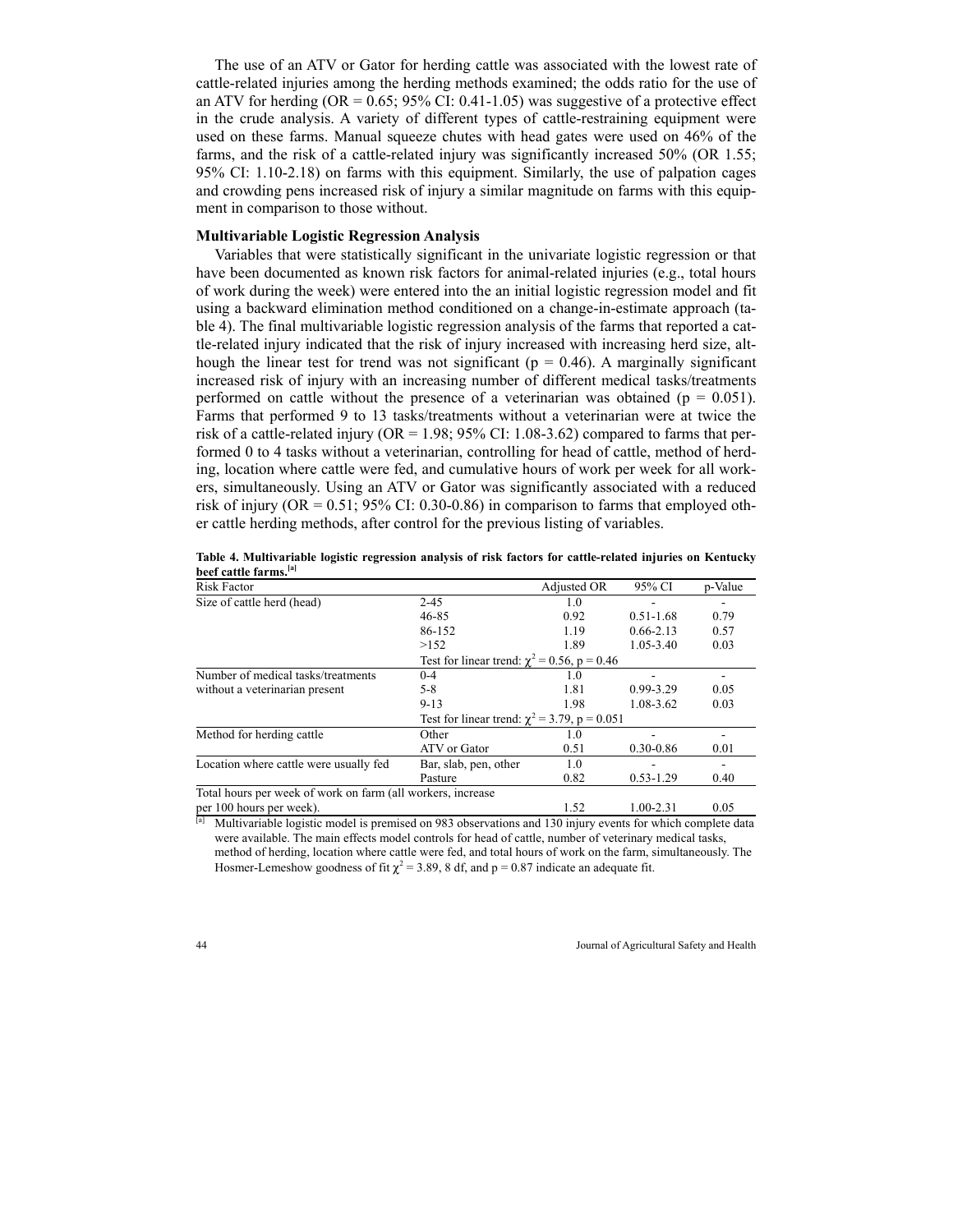The use of an ATV or Gator for herding cattle was associated with the lowest rate of cattle-related injuries among the herding methods examined; the odds ratio for the use of an ATV for herding (OR =  $0.65$ ; 95% CI: 0.41-1.05) was suggestive of a protective effect in the crude analysis. A variety of different types of cattle-restraining equipment were used on these farms. Manual squeeze chutes with head gates were used on 46% of the farms, and the risk of a cattle-related injury was significantly increased 50% (OR 1.55; 95% CI: 1.10-2.18) on farms with this equipment. Similarly, the use of palpation cages and crowding pens increased risk of injury a similar magnitude on farms with this equipment in comparison to those without.

### **Multivariable Logistic Regression Analysis**

Variables that were statistically significant in the univariate logistic regression or that have been documented as known risk factors for animal-related injuries (e.g., total hours of work during the week) were entered into the an initial logistic regression model and fit using a backward elimination method conditioned on a change-in-estimate approach (table 4). The final multivariable logistic regression analysis of the farms that reported a cattle-related injury indicated that the risk of injury increased with increasing herd size, although the linear test for trend was not significant ( $p = 0.46$ ). A marginally significant increased risk of injury with an increasing number of different medical tasks/treatments performed on cattle without the presence of a veterinarian was obtained ( $p = 0.051$ ). Farms that performed 9 to 13 tasks/treatments without a veterinarian were at twice the risk of a cattle-related injury (OR =  $1.98$ ; 95% CI: 1.08-3.62) compared to farms that performed 0 to 4 tasks without a veterinarian, controlling for head of cattle, method of herding, location where cattle were fed, and cumulative hours of work per week for all workers, simultaneously. Using an ATV or Gator was significantly associated with a reduced risk of injury (OR =  $0.51$ ; 95% CI: 0.30-0.86) in comparison to farms that employed other cattle herding methods, after control for the previous listing of variables.

| DULI VALLIU IAI IIIS.                                       |                                                   |             |               |         |  |  |  |  |
|-------------------------------------------------------------|---------------------------------------------------|-------------|---------------|---------|--|--|--|--|
| Risk Factor                                                 |                                                   | Adjusted OR | 95% CI        | p-Value |  |  |  |  |
| Size of cattle herd (head)                                  | $2 - 45$                                          | 1.0         |               |         |  |  |  |  |
|                                                             | 46-85                                             | 0.92        | $0.51 - 1.68$ | 0.79    |  |  |  |  |
|                                                             | 86-152                                            | 1.19        | $0.66 - 2.13$ | 0.57    |  |  |  |  |
|                                                             | >152                                              | 1.89        | $1.05 - 3.40$ | 0.03    |  |  |  |  |
|                                                             | Test for linear trend: $\chi^2$ = 0.56, p = 0.46  |             |               |         |  |  |  |  |
| Number of medical tasks/treatments                          | $0 - 4$                                           | 1.0         |               |         |  |  |  |  |
| without a veterinarian present                              | $5 - 8$                                           | 1.81        | $0.99 - 3.29$ | 0.05    |  |  |  |  |
|                                                             | $9 - 13$                                          | 1.98        | 1.08-3.62     | 0.03    |  |  |  |  |
|                                                             | Test for linear trend: $\chi^2$ = 3.79, p = 0.051 |             |               |         |  |  |  |  |
| Method for herding cattle.                                  | Other                                             | 1.0         |               |         |  |  |  |  |
|                                                             | ATV or Gator                                      | 0.51        | $0.30 - 0.86$ | 0.01    |  |  |  |  |
| Location where cattle were usually fed                      | Bar, slab, pen, other                             | 1.0         |               |         |  |  |  |  |
|                                                             | Pasture                                           | 0.82        | $0.53 - 1.29$ | 0.40    |  |  |  |  |
| Total hours per week of work on farm (all workers, increase |                                                   |             |               |         |  |  |  |  |
| ner 100 hours ner week).                                    |                                                   | 1.52        | $1.00 - 2.31$ | 0.05    |  |  |  |  |

**Table 4. Multivariable logistic regression analysis of risk factors for cattle-related injuries on Kentucky beef cattle farms.[a]**

<sup>[a]</sup> Multivariable logistic model is premised on 983 observations and 130 injury events for which complete data were available. The main effects model controls for head of cattle, number of veterinary medical tasks, method of herding, location where cattle were fed, and total hours of work on the farm, simultaneously. The Hosmer-Lemeshow goodness of fit  $\chi^2$  = 3.89, 8 df, and p = 0.87 indicate an adequate fit.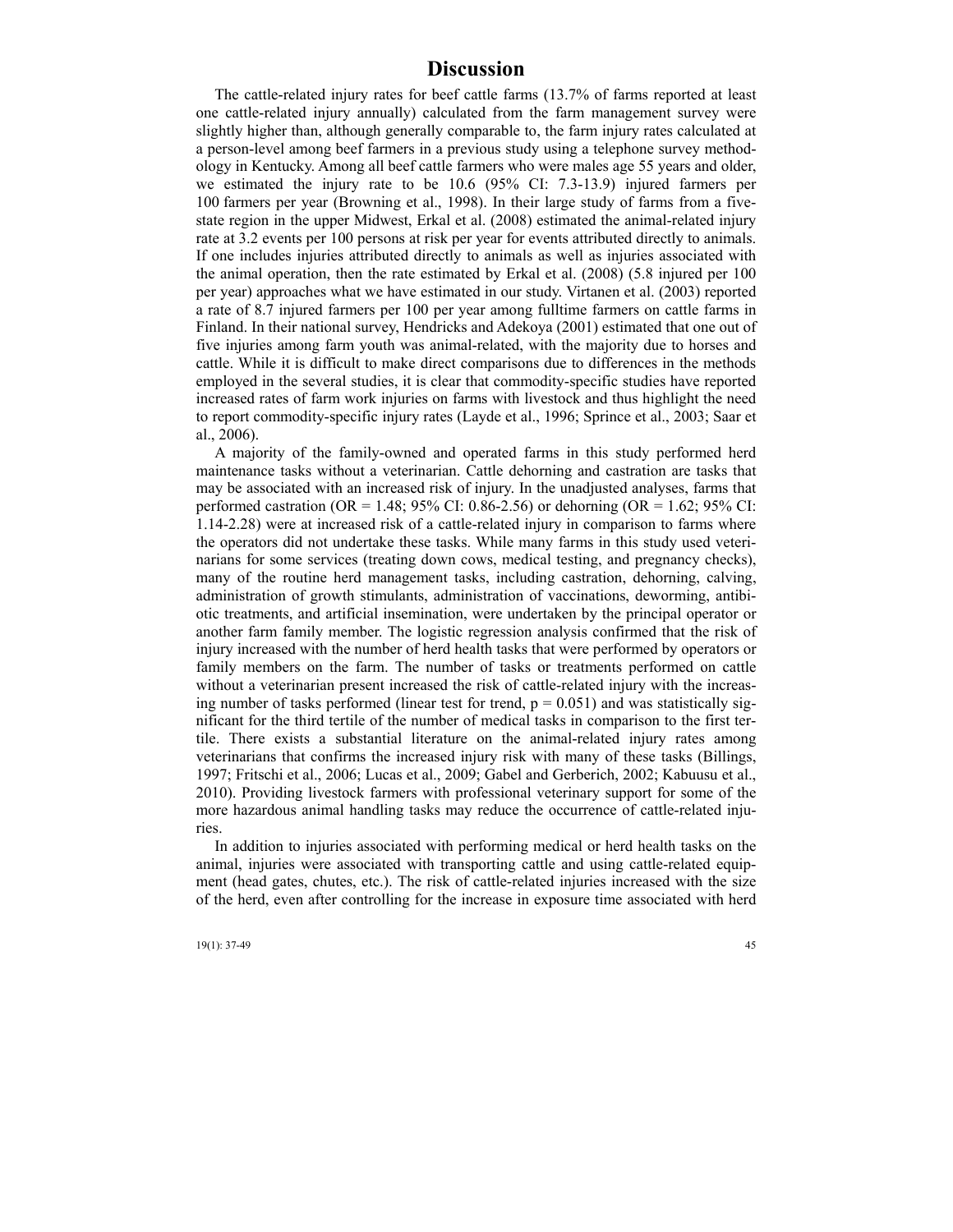# **Discussion**

The cattle-related injury rates for beef cattle farms (13.7% of farms reported at least one cattle-related injury annually) calculated from the farm management survey were slightly higher than, although generally comparable to, the farm injury rates calculated at a person-level among beef farmers in a previous study using a telephone survey methodology in Kentucky. Among all beef cattle farmers who were males age 55 years and older, we estimated the injury rate to be 10.6 (95% CI: 7.3-13.9) injured farmers per 100 farmers per year (Browning et al., 1998). In their large study of farms from a fivestate region in the upper Midwest, Erkal et al. (2008) estimated the animal-related injury rate at 3.2 events per 100 persons at risk per year for events attributed directly to animals. If one includes injuries attributed directly to animals as well as injuries associated with the animal operation, then the rate estimated by Erkal et al. (2008) (5.8 injured per 100 per year) approaches what we have estimated in our study. Virtanen et al. (2003) reported a rate of 8.7 injured farmers per 100 per year among fulltime farmers on cattle farms in Finland. In their national survey, Hendricks and Adekoya (2001) estimated that one out of five injuries among farm youth was animal-related, with the majority due to horses and cattle. While it is difficult to make direct comparisons due to differences in the methods employed in the several studies, it is clear that commodity-specific studies have reported increased rates of farm work injuries on farms with livestock and thus highlight the need to report commodity-specific injury rates (Layde et al., 1996; Sprince et al., 2003; Saar et al., 2006).

A majority of the family-owned and operated farms in this study performed herd maintenance tasks without a veterinarian. Cattle dehorning and castration are tasks that may be associated with an increased risk of injury. In the unadjusted analyses, farms that performed castration (OR = 1.48; 95% CI: 0.86-2.56) or dehorning (OR = 1.62; 95% CI: 1.14-2.28) were at increased risk of a cattle-related injury in comparison to farms where the operators did not undertake these tasks. While many farms in this study used veterinarians for some services (treating down cows, medical testing, and pregnancy checks), many of the routine herd management tasks, including castration, dehorning, calving, administration of growth stimulants, administration of vaccinations, deworming, antibiotic treatments, and artificial insemination, were undertaken by the principal operator or another farm family member. The logistic regression analysis confirmed that the risk of injury increased with the number of herd health tasks that were performed by operators or family members on the farm. The number of tasks or treatments performed on cattle without a veterinarian present increased the risk of cattle-related injury with the increasing number of tasks performed (linear test for trend,  $p = 0.051$ ) and was statistically significant for the third tertile of the number of medical tasks in comparison to the first tertile. There exists a substantial literature on the animal-related injury rates among veterinarians that confirms the increased injury risk with many of these tasks (Billings, 1997; Fritschi et al., 2006; Lucas et al., 2009; Gabel and Gerberich, 2002; Kabuusu et al., 2010). Providing livestock farmers with professional veterinary support for some of the more hazardous animal handling tasks may reduce the occurrence of cattle-related injuries.

In addition to injuries associated with performing medical or herd health tasks on the animal, injuries were associated with transporting cattle and using cattle-related equipment (head gates, chutes, etc.). The risk of cattle-related injuries increased with the size of the herd, even after controlling for the increase in exposure time associated with herd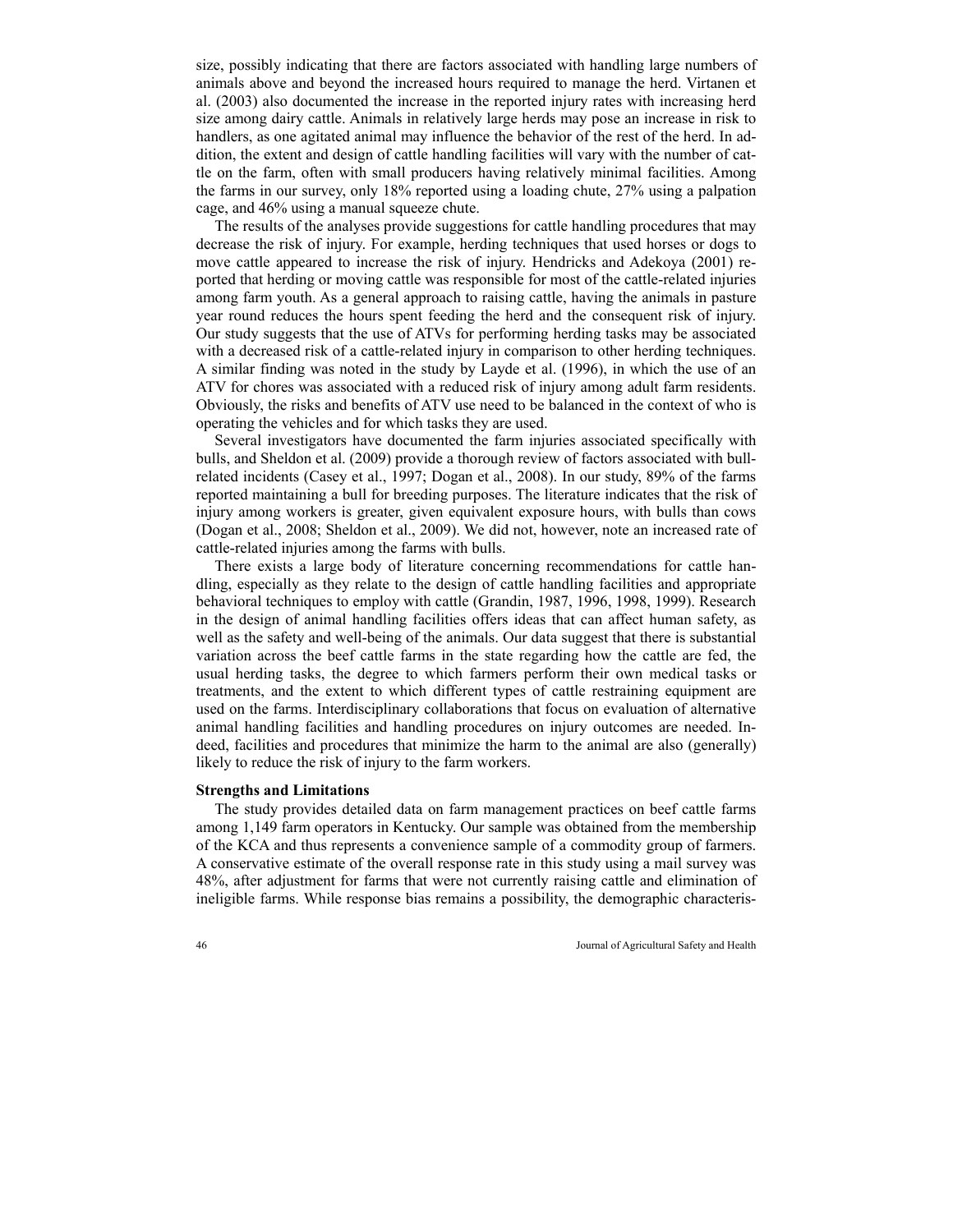size, possibly indicating that there are factors associated with handling large numbers of animals above and beyond the increased hours required to manage the herd. Virtanen et al. (2003) also documented the increase in the reported injury rates with increasing herd size among dairy cattle. Animals in relatively large herds may pose an increase in risk to handlers, as one agitated animal may influence the behavior of the rest of the herd. In addition, the extent and design of cattle handling facilities will vary with the number of cattle on the farm, often with small producers having relatively minimal facilities. Among the farms in our survey, only 18% reported using a loading chute, 27% using a palpation cage, and 46% using a manual squeeze chute.

The results of the analyses provide suggestions for cattle handling procedures that may decrease the risk of injury. For example, herding techniques that used horses or dogs to move cattle appeared to increase the risk of injury. Hendricks and Adekoya (2001) reported that herding or moving cattle was responsible for most of the cattle-related injuries among farm youth. As a general approach to raising cattle, having the animals in pasture year round reduces the hours spent feeding the herd and the consequent risk of injury. Our study suggests that the use of ATVs for performing herding tasks may be associated with a decreased risk of a cattle-related injury in comparison to other herding techniques. A similar finding was noted in the study by Layde et al. (1996), in which the use of an ATV for chores was associated with a reduced risk of injury among adult farm residents. Obviously, the risks and benefits of ATV use need to be balanced in the context of who is operating the vehicles and for which tasks they are used.

Several investigators have documented the farm injuries associated specifically with bulls, and Sheldon et al. (2009) provide a thorough review of factors associated with bullrelated incidents (Casey et al., 1997; Dogan et al., 2008). In our study, 89% of the farms reported maintaining a bull for breeding purposes. The literature indicates that the risk of injury among workers is greater, given equivalent exposure hours, with bulls than cows (Dogan et al., 2008; Sheldon et al., 2009). We did not, however, note an increased rate of cattle-related injuries among the farms with bulls.

There exists a large body of literature concerning recommendations for cattle handling, especially as they relate to the design of cattle handling facilities and appropriate behavioral techniques to employ with cattle (Grandin, 1987, 1996, 1998, 1999). Research in the design of animal handling facilities offers ideas that can affect human safety, as well as the safety and well-being of the animals. Our data suggest that there is substantial variation across the beef cattle farms in the state regarding how the cattle are fed, the usual herding tasks, the degree to which farmers perform their own medical tasks or treatments, and the extent to which different types of cattle restraining equipment are used on the farms. Interdisciplinary collaborations that focus on evaluation of alternative animal handling facilities and handling procedures on injury outcomes are needed. Indeed, facilities and procedures that minimize the harm to the animal are also (generally) likely to reduce the risk of injury to the farm workers.

#### **Strengths and Limitations**

The study provides detailed data on farm management practices on beef cattle farms among 1,149 farm operators in Kentucky. Our sample was obtained from the membership of the KCA and thus represents a convenience sample of a commodity group of farmers. A conservative estimate of the overall response rate in this study using a mail survey was 48%, after adjustment for farms that were not currently raising cattle and elimination of ineligible farms. While response bias remains a possibility, the demographic characteris-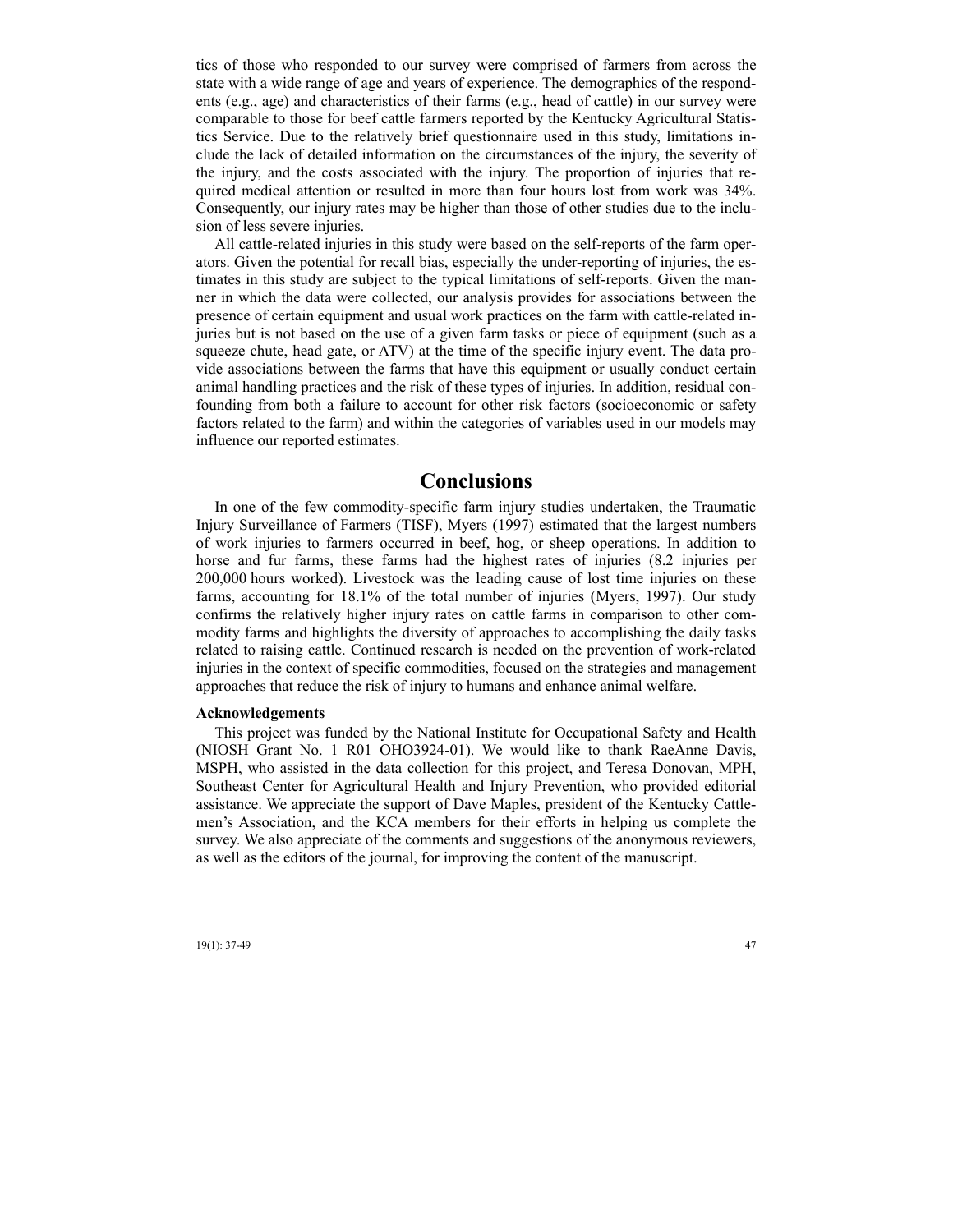tics of those who responded to our survey were comprised of farmers from across the state with a wide range of age and years of experience. The demographics of the respondents (e.g., age) and characteristics of their farms (e.g., head of cattle) in our survey were comparable to those for beef cattle farmers reported by the Kentucky Agricultural Statistics Service. Due to the relatively brief questionnaire used in this study, limitations include the lack of detailed information on the circumstances of the injury, the severity of the injury, and the costs associated with the injury. The proportion of injuries that required medical attention or resulted in more than four hours lost from work was 34%. Consequently, our injury rates may be higher than those of other studies due to the inclusion of less severe injuries.

All cattle-related injuries in this study were based on the self-reports of the farm operators. Given the potential for recall bias, especially the under-reporting of injuries, the estimates in this study are subject to the typical limitations of self-reports. Given the manner in which the data were collected, our analysis provides for associations between the presence of certain equipment and usual work practices on the farm with cattle-related injuries but is not based on the use of a given farm tasks or piece of equipment (such as a squeeze chute, head gate, or ATV) at the time of the specific injury event. The data provide associations between the farms that have this equipment or usually conduct certain animal handling practices and the risk of these types of injuries. In addition, residual confounding from both a failure to account for other risk factors (socioeconomic or safety factors related to the farm) and within the categories of variables used in our models may influence our reported estimates.

## **Conclusions**

In one of the few commodity-specific farm injury studies undertaken, the Traumatic Injury Surveillance of Farmers (TISF), Myers (1997) estimated that the largest numbers of work injuries to farmers occurred in beef, hog, or sheep operations. In addition to horse and fur farms, these farms had the highest rates of injuries (8.2 injuries per 200,000 hours worked). Livestock was the leading cause of lost time injuries on these farms, accounting for 18.1% of the total number of injuries (Myers, 1997). Our study confirms the relatively higher injury rates on cattle farms in comparison to other commodity farms and highlights the diversity of approaches to accomplishing the daily tasks related to raising cattle. Continued research is needed on the prevention of work-related injuries in the context of specific commodities, focused on the strategies and management approaches that reduce the risk of injury to humans and enhance animal welfare.

#### **Acknowledgements**

This project was funded by the National Institute for Occupational Safety and Health (NIOSH Grant No. 1 R01 OHO3924-01). We would like to thank RaeAnne Davis, MSPH, who assisted in the data collection for this project, and Teresa Donovan, MPH, Southeast Center for Agricultural Health and Injury Prevention, who provided editorial assistance. We appreciate the support of Dave Maples, president of the Kentucky Cattlemen's Association, and the KCA members for their efforts in helping us complete the survey. We also appreciate of the comments and suggestions of the anonymous reviewers, as well as the editors of the journal, for improving the content of the manuscript.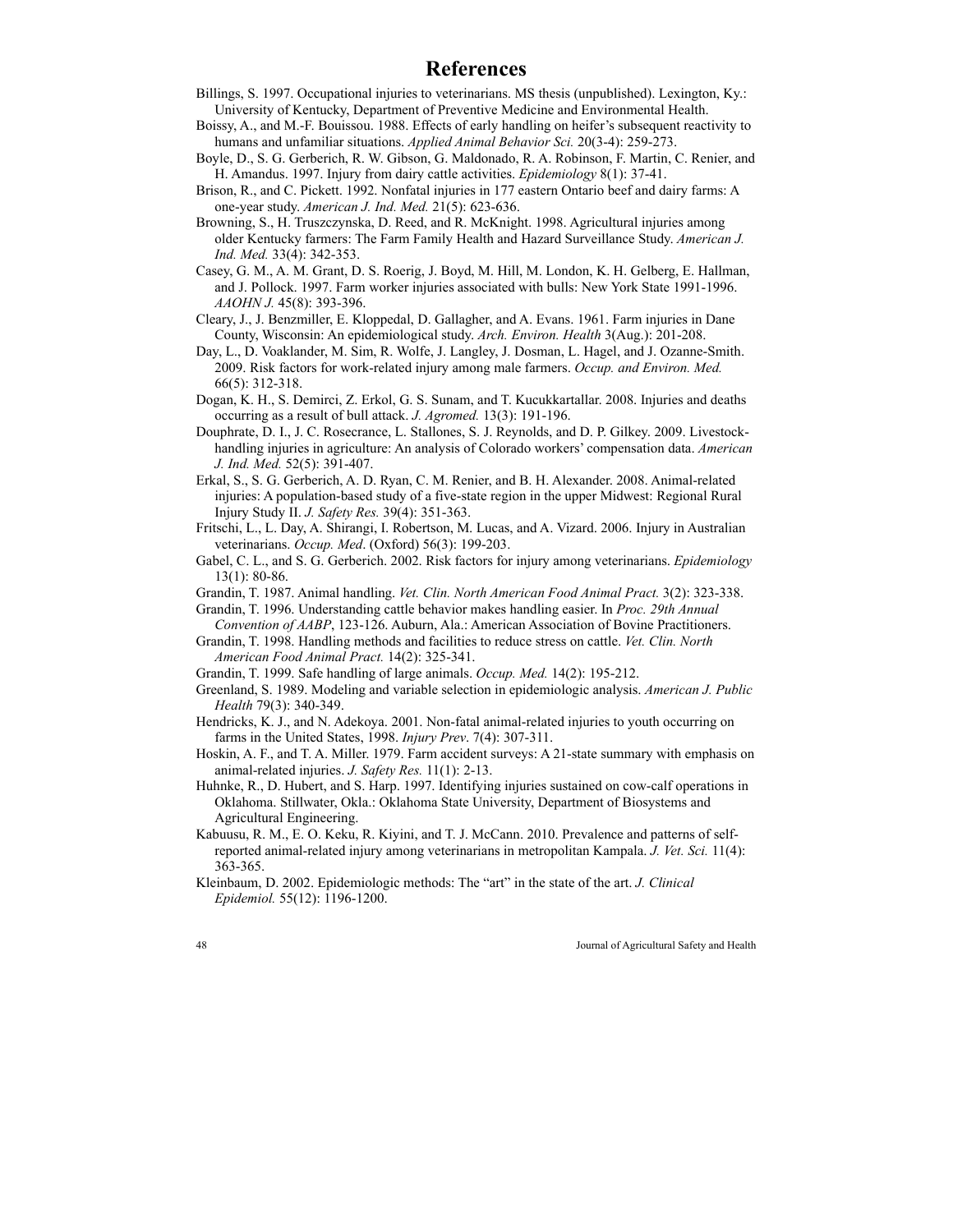# **References**

- Billings, S. 1997. Occupational injuries to veterinarians. MS thesis (unpublished). Lexington, Ky.: University of Kentucky, Department of Preventive Medicine and Environmental Health.
- Boissy, A., and M.-F. Bouissou. 1988. Effects of early handling on heifer's subsequent reactivity to humans and unfamiliar situations. *Applied Animal Behavior Sci.* 20(3-4): 259-273.
- Boyle, D., S. G. Gerberich, R. W. Gibson, G. Maldonado, R. A. Robinson, F. Martin, C. Renier, and H. Amandus. 1997. Injury from dairy cattle activities. *Epidemiology* 8(1): 37-41.
- Brison, R., and C. Pickett. 1992. Nonfatal injuries in 177 eastern Ontario beef and dairy farms: A one-year study. *American J. Ind. Med.* 21(5): 623-636.
- Browning, S., H. Truszczynska, D. Reed, and R. McKnight. 1998. Agricultural injuries among older Kentucky farmers: The Farm Family Health and Hazard Surveillance Study. *American J. Ind. Med.* 33(4): 342-353.
- Casey, G. M., A. M. Grant, D. S. Roerig, J. Boyd, M. Hill, M. London, K. H. Gelberg, E. Hallman, and J. Pollock. 1997. Farm worker injuries associated with bulls: New York State 1991-1996. *AAOHN J.* 45(8): 393-396.
- Cleary, J., J. Benzmiller, E. Kloppedal, D. Gallagher, and A. Evans. 1961. Farm injuries in Dane County, Wisconsin: An epidemiological study. *Arch. Environ. Health* 3(Aug.): 201-208.
- Day, L., D. Voaklander, M. Sim, R. Wolfe, J. Langley, J. Dosman, L. Hagel, and J. Ozanne-Smith. 2009. Risk factors for work-related injury among male farmers. *Occup. and Environ. Med.* 66(5): 312-318.
- Dogan, K. H., S. Demirci, Z. Erkol, G. S. Sunam, and T. Kucukkartallar. 2008. Injuries and deaths occurring as a result of bull attack. *J. Agromed.* 13(3): 191-196.
- Douphrate, D. I., J. C. Rosecrance, L. Stallones, S. J. Reynolds, and D. P. Gilkey. 2009. Livestockhandling injuries in agriculture: An analysis of Colorado workers' compensation data. *American J. Ind. Med.* 52(5): 391-407.
- Erkal, S., S. G. Gerberich, A. D. Ryan, C. M. Renier, and B. H. Alexander. 2008. Animal-related injuries: A population-based study of a five-state region in the upper Midwest: Regional Rural Injury Study II. *J. Safety Res.* 39(4): 351-363.
- Fritschi, L., L. Day, A. Shirangi, I. Robertson, M. Lucas, and A. Vizard. 2006. Injury in Australian veterinarians. *Occup. Med*. (Oxford) 56(3): 199-203.
- Gabel, C. L., and S. G. Gerberich. 2002. Risk factors for injury among veterinarians. *Epidemiology* 13(1): 80-86.
- Grandin, T. 1987. Animal handling. *Vet. Clin. North American Food Animal Pract.* 3(2): 323-338.
- Grandin, T. 1996. Understanding cattle behavior makes handling easier. In *Proc. 29th Annual Convention of AABP*, 123-126. Auburn, Ala.: American Association of Bovine Practitioners.
- Grandin, T. 1998. Handling methods and facilities to reduce stress on cattle. *Vet. Clin. North American Food Animal Pract.* 14(2): 325-341.
- Grandin, T. 1999. Safe handling of large animals. *Occup. Med.* 14(2): 195-212.
- Greenland, S. 1989. Modeling and variable selection in epidemiologic analysis. *American J. Public Health* 79(3): 340-349.
- Hendricks, K. J., and N. Adekoya. 2001. Non-fatal animal-related injuries to youth occurring on farms in the United States, 1998. *Injury Prev*. 7(4): 307-311.
- Hoskin, A. F., and T. A. Miller. 1979. Farm accident surveys: A 21-state summary with emphasis on animal-related injuries. *J. Safety Res.* 11(1): 2-13.
- Huhnke, R., D. Hubert, and S. Harp. 1997. Identifying injuries sustained on cow-calf operations in Oklahoma. Stillwater, Okla.: Oklahoma State University, Department of Biosystems and Agricultural Engineering.
- Kabuusu, R. M., E. O. Keku, R. Kiyini, and T. J. McCann. 2010. Prevalence and patterns of selfreported animal-related injury among veterinarians in metropolitan Kampala. *J. Vet. Sci.* 11(4): 363-365.
- Kleinbaum, D. 2002. Epidemiologic methods: The "art" in the state of the art. *J. Clinical Epidemiol.* 55(12): 1196-1200.